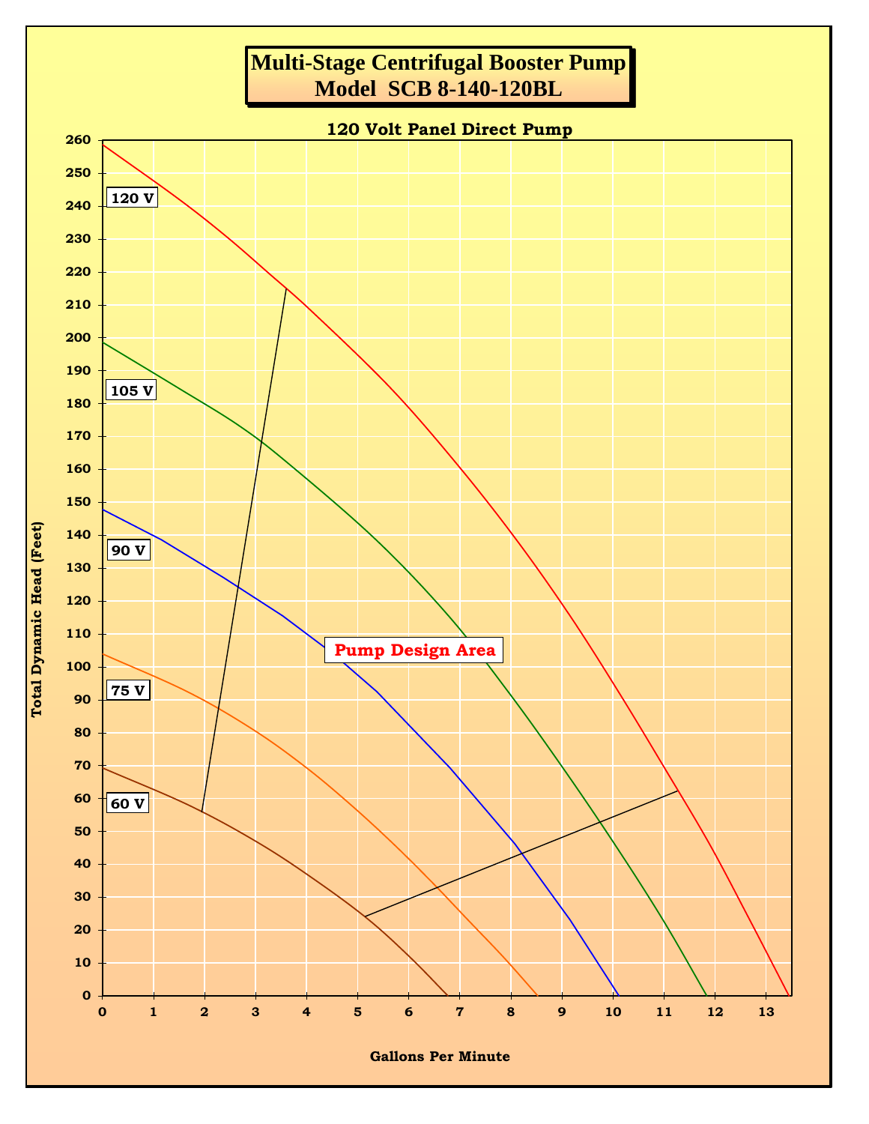